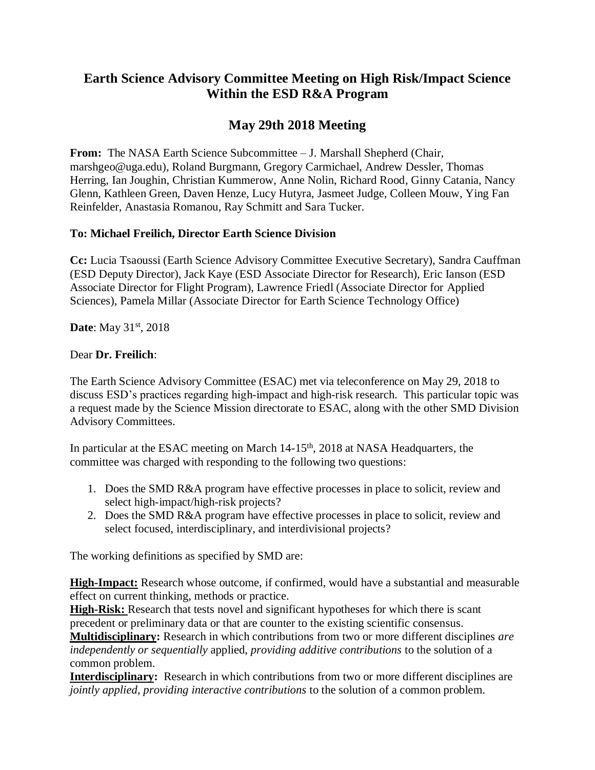## **Earth Science Advisory Committee Meeting on High Risk/Impact Science Within the ESD R&A Program**

# **May 29th 2018 Meeting**

From: The NASA Earth Science Subcommittee – J. Marshall Shepherd (Chair, marshgeo@uga.edu), Roland Burgmann, Gregory Carmichael, Andrew Dessler, Thomas Herring, Ian Joughin, Christian Kummerow, Anne Nolin, Richard Rood, Ginny Catania, Nancy Glenn, Kathleen Green, Daven Henze, Lucy Hutyra, Jasmeet Judge, Colleen Mouw, Ying Fan Reinfelder, Anastasia Romanou, Ray Schmitt and Sara Tucker.

#### **To: Michael Freilich, Director Earth Science Division**

**Cc:** Lucia Tsaoussi (Earth Science Advisory Committee Executive Secretary), Sandra Cauffman (ESD Deputy Director), Jack Kaye (ESD Associate Director for Research), Eric Ianson (ESD Associate Director for Flight Program), Lawrence Friedl (Associate Director for Applied Sciences), Pamela Millar (Associate Director for Earth Science Technology Office)

**Date**: May 31<sup>st</sup>, 2018

### Dear **Dr. Freilich**:

The Earth Science Advisory Committee (ESAC) met via teleconference on May 29, 2018 to discuss ESD's practices regarding high-impact and high-risk research. This particular topic was a request made by the Science Mission directorate to ESAC, along with the other SMD Division Advisory Committees.

In particular at the ESAC meeting on March 14-15<sup>th</sup>, 2018 at NASA Headquarters, the committee was charged with responding to the following two questions:

- 1. Does the SMD R&A program have effective processes in place to solicit, review and select high-impact/high-risk projects?
- 2. Does the SMD R&A program have effective processes in place to solicit, review and select focused, interdisciplinary, and interdivisional projects?

The working definitions as specified by SMD are:

**High-Impact:** Research whose outcome, if confirmed, would have a substantial and measurable effect on current thinking, methods or practice.

**High-Risk:** Research that tests novel and significant hypotheses for which there is scant precedent or preliminary data or that are counter to the existing scientific consensus.

**Multidisciplinary:** Research in which contributions from two or more different disciplines *are independently or sequentially* applied, *providing additive contributions* to the solution of a common problem.

**Interdisciplinary:** Research in which contributions from two or more different disciplines are *jointly applied, providing interactive contributions* to the solution of a common problem.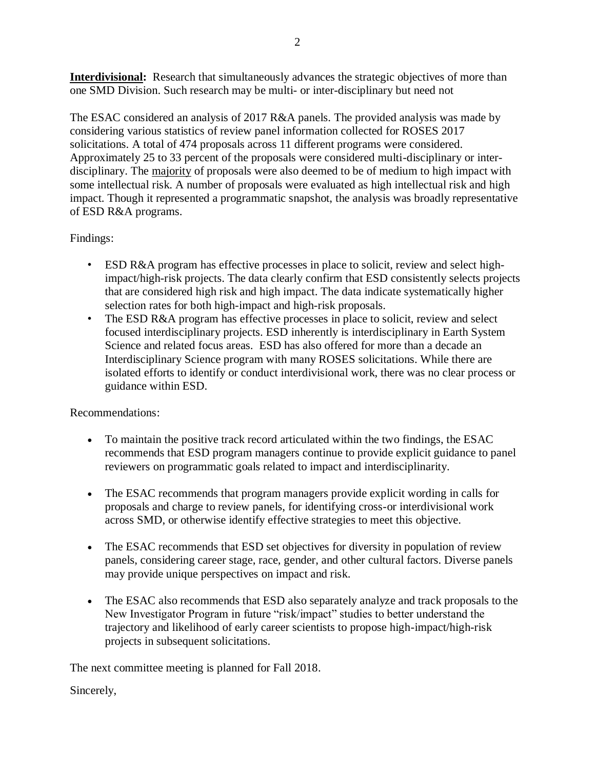**Interdivisional:** Research that simultaneously advances the strategic objectives of more than one SMD Division. Such research may be multi- or inter-disciplinary but need not

The ESAC considered an analysis of 2017 R&A panels. The provided analysis was made by considering various statistics of review panel information collected for ROSES 2017 solicitations. A total of 474 proposals across 11 different programs were considered. Approximately 25 to 33 percent of the proposals were considered multi-disciplinary or interdisciplinary. The majority of proposals were also deemed to be of medium to high impact with some intellectual risk. A number of proposals were evaluated as high intellectual risk and high impact. Though it represented a programmatic snapshot, the analysis was broadly representative of ESD R&A programs.

### Findings:

- ESD R&A program has effective processes in place to solicit, review and select highimpact/high-risk projects. The data clearly confirm that ESD consistently selects projects that are considered high risk and high impact. The data indicate systematically higher selection rates for both high-impact and high-risk proposals.
- The ESD R&A program has effective processes in place to solicit, review and select focused interdisciplinary projects. ESD inherently is interdisciplinary in Earth System Science and related focus areas. ESD has also offered for more than a decade an Interdisciplinary Science program with many ROSES solicitations. While there are isolated efforts to identify or conduct interdivisional work, there was no clear process or guidance within ESD.

#### Recommendations:

- To maintain the positive track record articulated within the two findings, the ESAC recommends that ESD program managers continue to provide explicit guidance to panel reviewers on programmatic goals related to impact and interdisciplinarity.
- The ESAC recommends that program managers provide explicit wording in calls for proposals and charge to review panels, for identifying cross-or interdivisional work across SMD, or otherwise identify effective strategies to meet this objective.
- The ESAC recommends that ESD set objectives for diversity in population of review panels, considering career stage, race, gender, and other cultural factors. Diverse panels may provide unique perspectives on impact and risk.
- The ESAC also recommends that ESD also separately analyze and track proposals to the New Investigator Program in future "risk/impact" studies to better understand the trajectory and likelihood of early career scientists to propose high-impact/high-risk projects in subsequent solicitations.

The next committee meeting is planned for Fall 2018.

## Sincerely,